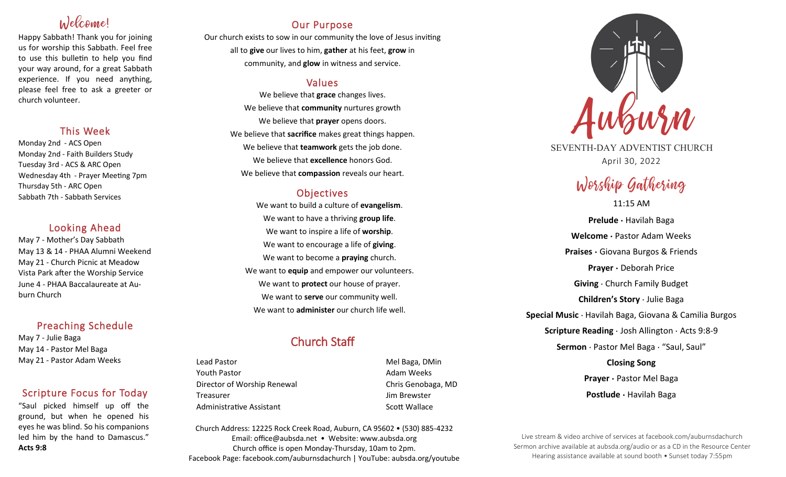# Welcome!

Happy Sabbath! Thank you for joining us for worship this Sabbath. Feel free to use this bulletin to help you find your way around, for a great Sabbath experience. If you need anything, please feel free to ask a greeter or church volunteer.

## This Week

Monday 2nd - ACS Open Monday 2nd - Faith Builders Study Tuesday 3rd - ACS & ARC Open Wednesday 4th - Prayer Meeting 7pm Thursday 5th - ARC Open Sabbath 7th - Sabbath Services

## Looking Ahead

May 7 - Mother's Day Sabbath May 13 & 14 - PHAA Alumni Weekend May 21 - Church Picnic at Meadow Vista Park after the Worship Service June 4 - PHAA Baccalaureate at Auburn Church

## Preaching Schedule

May 7 - Julie Baga May 14 - Pastor Mel Baga May 21 - Pastor Adam Weeks

## Scripture Focus for Today

"Saul picked himself up off the ground, but when he opened his eyes he was blind. So his companions led him by the hand to Damascus." **Acts 9:8**

## Our Purpose

Our church exists to sow in our community the love of Jesus inviting all to **give** our lives to him, **gather** at his feet, **grow** in community, and **glow** in witness and service.

## Values

We believe that **grace** changes lives. We believe that **community** nurtures growth We believe that **prayer** opens doors. We believe that **sacrifice** makes great things happen. We believe that **teamwork** gets the job done. We believe that **excellence** honors God. We believe that **compassion** reveals our heart.

## **Objectives**

We want to build a culture of **evangelism**. We want to have a thriving **group life**. We want to inspire a life of **worship**. We want to encourage a life of **giving**. We want to become a **praying** church. We want to **equip** and empower our volunteers. We want to **protect** our house of prayer. We want to **serve** our community well. We want to **administer** our church life well.

## Church Staff

Lead Pastor **Mel Baga, DMin** Youth Pastor **Adam Weeks Adam Weeks** Director of Worship Renewal **Chris Genobaga**, MD Treasurer Jim Brewster Administrative Assistant National Controllery Scott Wallace

Church Address: 12225 Rock Creek Road, Auburn, CA 95602 • (530) 885-4232 Email: office@aubsda.net • Website: www.aubsda.org Church office is open Monday-Thursday, 10am to 2pm. Facebook Page: facebook.com/auburnsdachurch | YouTube: aubsda.org/youtube



SEVENTH-DAY ADVENTIST CHURCH April 30, 2022

# Worship Gathering

11:15 AM **Prelude ·** Havilah Baga **Welcome ·** Pastor Adam Weeks **Praises ·** Giovana Burgos & Friends **Prayer ·** Deborah Price **Giving** · Church Family Budget **Children's Story** · Julie Baga **Special Music** · Havilah Baga, Giovana & Camilia Burgos **Scripture Reading** · Josh Allington · Acts 9:8-9 **Sermon** · Pastor Mel Baga · "Saul, Saul" **Closing Song Prayer ·** Pastor Mel Baga

**Postlude ·** Havilah Baga

Live stream & video archive of services at facebook.com/auburnsdachurch Sermon archive available at aubsda.org/audio or as a CD in the Resource Center Hearing assistance available at sound booth • Sunset today 7:55pm